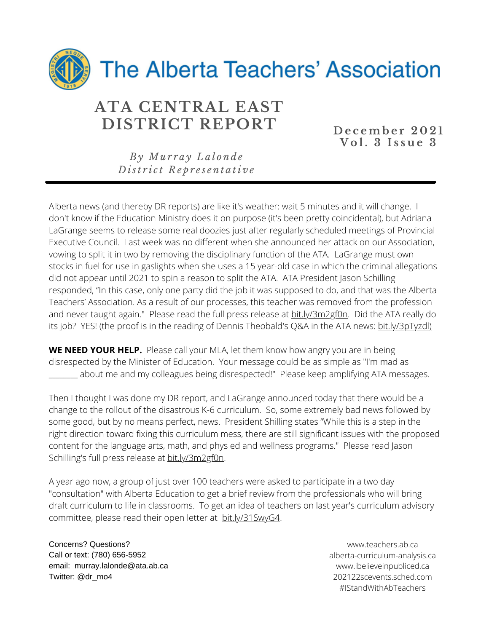

## **ATA CENTRAL EAST DISTRICT REPORT December 2021**

**V o l . 3 I s s u e 3**

*B y Mu r r a y L a l o n d e D ist r i c t R e p r e s e n t a ti v e*

Alberta news (and thereby DR reports) are like it's weather: wait 5 minutes and it will change. I don't know if the Education Ministry does it on purpose (it's been pretty coincidental), but Adriana LaGrange seems to release some real doozies just after regularly scheduled meetings of Provincial Executive Council. Last week was no different when she announced her attack on our Association, vowing to split it in two by removing the disciplinary function of the ATA. LaGrange must own stocks in fuel for use in gaslights when she uses a 15 year-old case in which the criminal allegations did not appear until 2021 to spin a reason to split the ATA. ATA President Jason Schilling responded, "In this case, only one party did the job it was supposed to do, and that was the Alberta Teachers' Association. As a result of our processes, this teacher was removed from the profession and never taught again." Please read the full press release at bit.ly/3m2gf0n. Did the ATA really do its job? YES! (the proof is in the reading of Dennis Theobald's Q&A in the ATA news: bit.ly/3pTyzdl)

**WE NEED YOUR HELP.** Please call your MLA, let them know how angry you are in being disrespected by the Minister of Education. Your message could be as simple as "I'm mad as about me and my colleagues being disrespected!" Please keep amplifying ATA messages.

Then I thought I was done my DR report, and LaGrange announced today that there would be a change to the rollout of the disastrous K-6 curriculum. So, some extremely bad news followed by some good, but by no means perfect, news. President Shilling states "While this is a step in the right direction toward fixing this curriculum mess, there are still significant issues with the proposed content for the language arts, math, and phys ed and wellness programs." Please read Jason Schilling's full press release at bit.ly/3m2gf0n.

A year ago now, a group of just over 100 teachers were asked to participate in a two day "consultation" with Alberta Education to get a brief review from the professionals who will bring draft curriculum to life in classrooms. To get an idea of teachers on last year's curriculum advisory committee, please read their open letter at bit.ly/31SwyG4.

Concerns? Questions? Call or text: (780) 656-5952 email: murray.lalonde@ata.ab.ca Twitter: @dr\_mo4

www.teachers.ab.ca alberta-curriculum-analysis.ca www.ibelieveinpubliced.ca 202122scevents.sched.com #IStandWithAbTeachers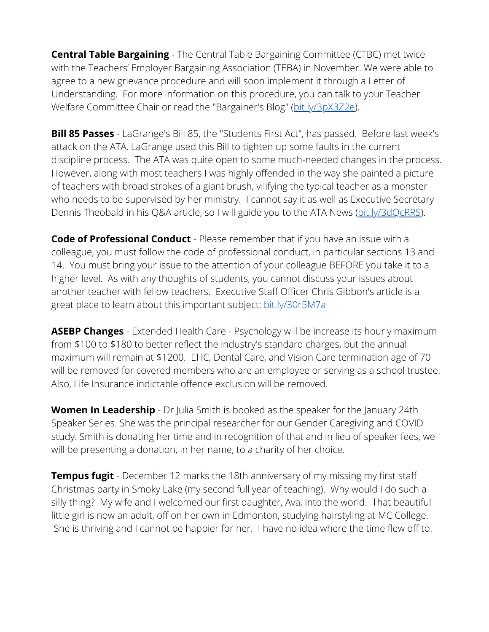**Central Table Bargaining** - The Central Table Bargaining Committee (CTBC) met twice with the Teachers' Employer Bargaining Association (TEBA) in November. We were able to agree to a new grievance procedure and will soon implement it through a Letter of Understanding. For more information on this procedure, you can talk to your Teacher Welfare Committee Chair or read the "Bargainer's Blog" (bit.ly/3pX3Z2e).

**Bill 85 Passes** - LaGrange's Bill 85, the "Students First Act", has passed. Before last week's attack on the ATA, LaGrange used this Bill to tighten up some faults in the current discipline process. The ATA was quite open to some much-needed changes in the process. However, along with most teachers I was highly offended in the way she painted a picture of teachers with broad strokes of a giant brush, vilifying the typical teacher as a monster who needs to be supervised by her ministry. I cannot say it as well as Executive Secretary Dennis Theobald in his Q&A article, so I will guide you to the ATA News (bit.ly/3dQcRRS).

**Code of Professional Conduct** - Please remember that if you have an issue with a colleague, you must follow the code of professional conduct, in particular sections 13 and 14. You must bring your issue to the attention of your colleague BEFORE you take it to a higher level. As with any thoughts of students, you cannot discuss your issues about another teacher with fellow teachers. Executive Staff Officer Chris Gibbon's article is a great place to learn about this important subject: bit.ly/30r5M7a

**ASEBP Changes** - Extended Health Care - Psychology will be increase its hourly maximum from \$100 to \$180 to better reflect the industry's standard charges, but the annual maximum will remain at \$1200. EHC, Dental Care, and Vision Care termination age of 70 will be removed for covered members who are an employee or serving as a school trustee. Also, Life Insurance indictable offence exclusion will be removed.

**Women In Leadership** - Dr Julia Smith is booked as the speaker for the January 24th Speaker Series. She was the principal researcher for our Gender Caregiving and COVID study. Smith is donating her time and in recognition of that and in lieu of speaker fees, we will be presenting a donation, in her name, to a charity of her choice.

**Tempus fugit** - December 12 marks the 18th anniversary of my missing my first staff Christmas party in Smoky Lake (my second full year of teaching). Why would I do such a silly thing? My wife and I welcomed our first daughter, Ava, into the world. That beautiful little girl is now an adult, off on her own in Edmonton, studying hairstyling at MC College. She is thriving and I cannot be happier for her. I have no idea where the time flew off to.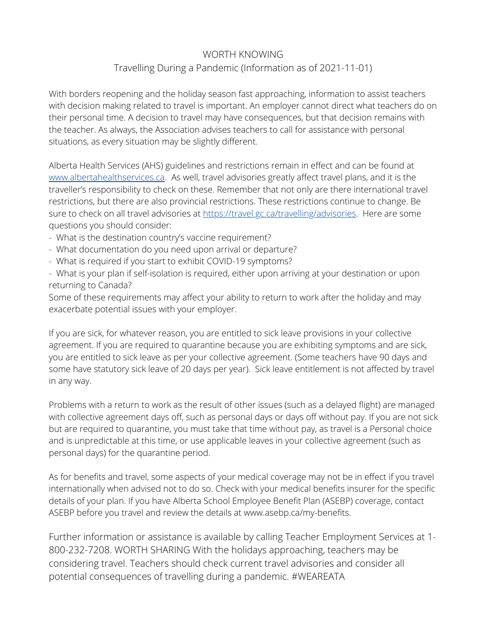#### WORTH KNOWING Travelling During a Pandemic (Information as of 2021-11-01)

With borders reopening and the holiday season fast approaching, information to assist teachers with decision making related to travel is important. An employer cannot direct what teachers do on their personal time. A decision to travel may have consequences, but that decision remains with the teacher. As always, the Association advises teachers to call for assistance with personal situations, as every situation may be slightly different.

Alberta Health Services (AHS) guidelines and restrictions remain in effect and can be found at www.albertahealthservices.ca. As well, travel advisories greatly affect travel plans, and it is the traveller's responsibility to check on these. Remember that not only are there international travel restrictions, but there are also provincial restrictions. These restrictions continue to change. Be sure to check on all travel advisories at https://travel.gc.ca/travelling/advisories. Here are some questions you should consider:

- What is the destination country's vaccine requirement?
- What documentation do you need upon arrival or departure?
- What is required if you start to exhibit COVID-19 symptoms?

- What is your plan if self-isolation is required, either upon arriving at your destination or upon returning to Canada?

Some of these requirements may affect your ability to return to work after the holiday and may exacerbate potential issues with your employer.

If you are sick, for whatever reason, you are entitled to sick leave provisions in your collective agreement. If you are required to quarantine because you are exhibiting symptoms and are sick, you are entitled to sick leave as per your collective agreement. (Some teachers have 90 days and some have statutory sick leave of 20 days per year). Sick leave entitlement is not affected by travel in any way.

Problems with a return to work as the result of other issues (such as a delayed flight) are managed with collective agreement days off, such as personal days or days off without pay. If you are not sick but are required to quarantine, you must take that time without pay, as travel is a Personal choice and is unpredictable at this time, or use applicable leaves in your collective agreement (such as personal days) for the quarantine period.

As for benefits and travel, some aspects of your medical coverage may not be in effect if you travel internationally when advised not to do so. Check with your medical benefits insurer for the specific details of your plan. If you have Alberta School Employee Benefit Plan (ASEBP) coverage, contact ASEBP before you travel and review the details at www.asebp.ca/my-benefits.

Further information or assistance is available by calling Teacher Employment Services at 1- 800-232-7208. WORTH SHARING With the holidays approaching, teachers may be considering travel. Teachers should check current travel advisories and consider all potential consequences of travelling during a pandemic. #WEAREATA